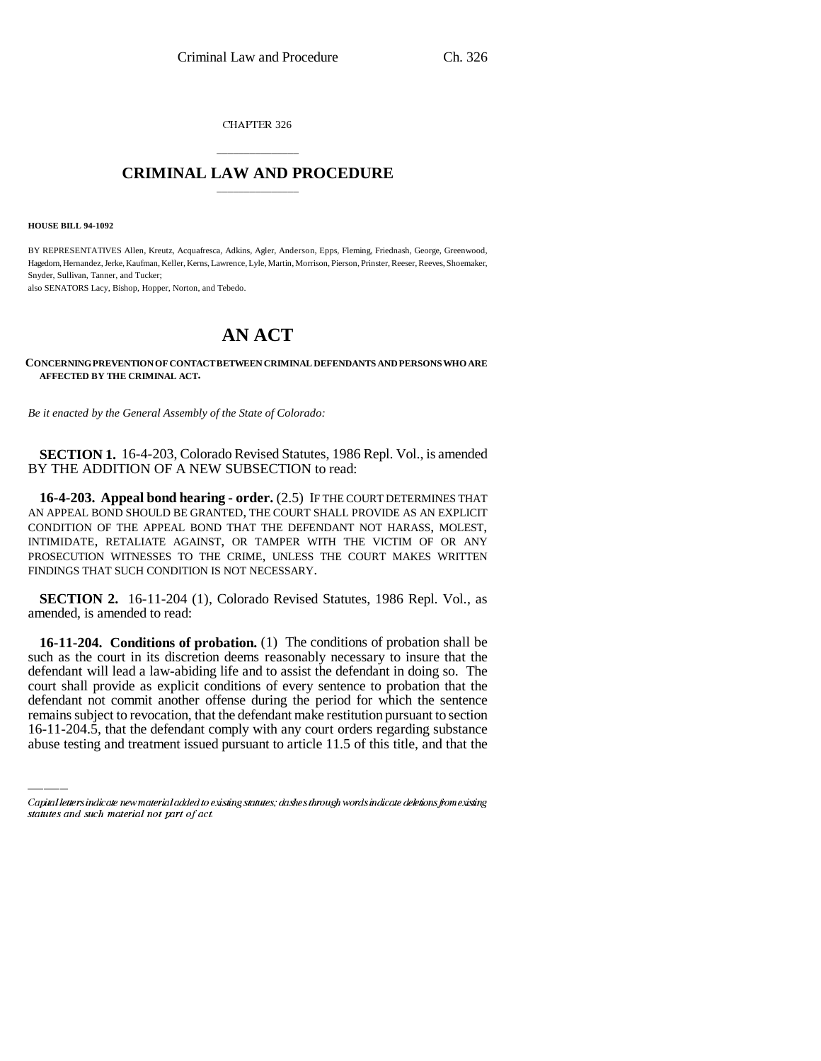CHAPTER 326

## \_\_\_\_\_\_\_\_\_\_\_\_\_\_\_ **CRIMINAL LAW AND PROCEDURE** \_\_\_\_\_\_\_\_\_\_\_\_\_\_\_

**HOUSE BILL 94-1092**

BY REPRESENTATIVES Allen, Kreutz, Acquafresca, Adkins, Agler, Anderson, Epps, Fleming, Friednash, George, Greenwood, Hagedorn, Hernandez, Jerke, Kaufman, Keller, Kerns, Lawrence, Lyle, Martin, Morrison, Pierson, Prinster, Reeser, Reeves, Shoemaker, Snyder, Sullivan, Tanner, and Tucker;

also SENATORS Lacy, Bishop, Hopper, Norton, and Tebedo.

## **AN ACT**

## **CONCERNING PREVENTION OF CONTACT BETWEEN CRIMINAL DEFENDANTS AND PERSONS WHO ARE AFFECTED BY THE CRIMINAL ACT.**

*Be it enacted by the General Assembly of the State of Colorado:*

**SECTION 1.** 16-4-203, Colorado Revised Statutes, 1986 Repl. Vol., is amended BY THE ADDITION OF A NEW SUBSECTION to read:

**16-4-203. Appeal bond hearing - order.** (2.5) IF THE COURT DETERMINES THAT AN APPEAL BOND SHOULD BE GRANTED, THE COURT SHALL PROVIDE AS AN EXPLICIT CONDITION OF THE APPEAL BOND THAT THE DEFENDANT NOT HARASS, MOLEST, INTIMIDATE, RETALIATE AGAINST, OR TAMPER WITH THE VICTIM OF OR ANY PROSECUTION WITNESSES TO THE CRIME, UNLESS THE COURT MAKES WRITTEN FINDINGS THAT SUCH CONDITION IS NOT NECESSARY.

**SECTION 2.** 16-11-204 (1), Colorado Revised Statutes, 1986 Repl. Vol., as amended, is amended to read:

court shall provide as explicit conditions of every sentence to probation that the **16-11-204. Conditions of probation.** (1) The conditions of probation shall be such as the court in its discretion deems reasonably necessary to insure that the defendant will lead a law-abiding life and to assist the defendant in doing so. The defendant not commit another offense during the period for which the sentence remains subject to revocation, that the defendant make restitution pursuant to section 16-11-204.5, that the defendant comply with any court orders regarding substance abuse testing and treatment issued pursuant to article 11.5 of this title, and that the

Capital letters indicate new material added to existing statutes; dashes through words indicate deletions from existing statutes and such material not part of act.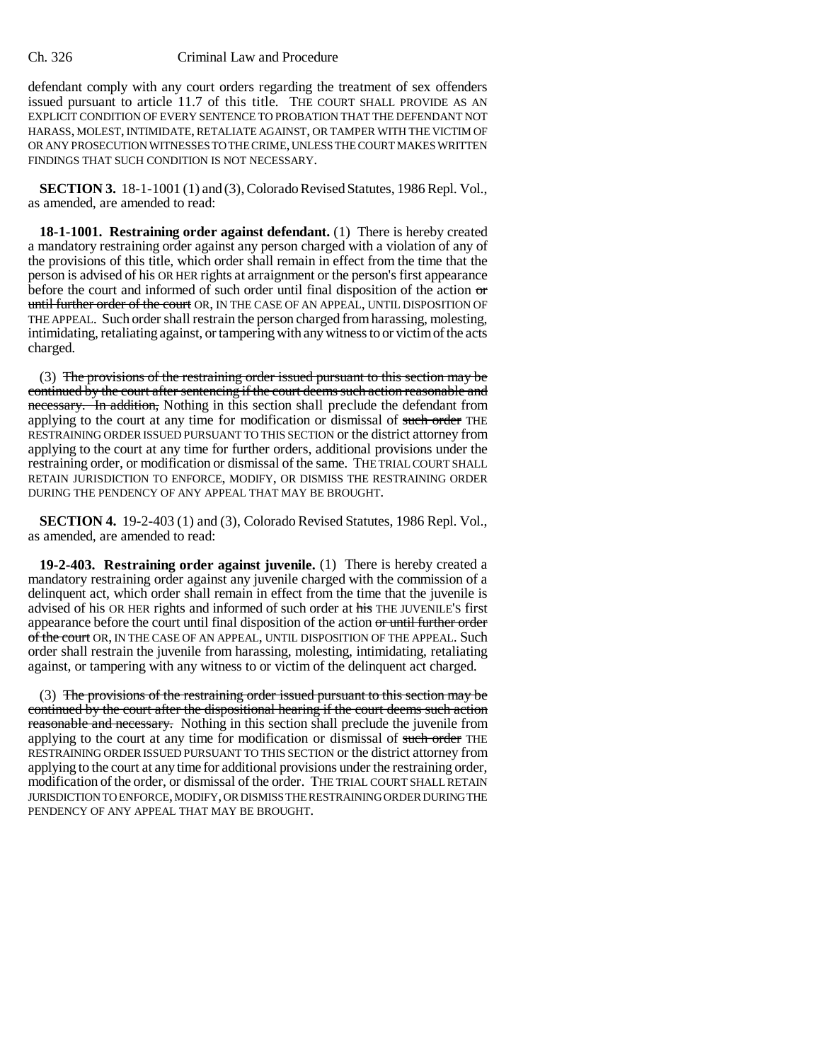## Ch. 326 Criminal Law and Procedure

defendant comply with any court orders regarding the treatment of sex offenders issued pursuant to article 11.7 of this title. THE COURT SHALL PROVIDE AS AN EXPLICIT CONDITION OF EVERY SENTENCE TO PROBATION THAT THE DEFENDANT NOT HARASS, MOLEST, INTIMIDATE, RETALIATE AGAINST, OR TAMPER WITH THE VICTIM OF OR ANY PROSECUTION WITNESSES TO THE CRIME, UNLESS THE COURT MAKES WRITTEN FINDINGS THAT SUCH CONDITION IS NOT NECESSARY.

**SECTION 3.** 18-1-1001 (1) and (3), Colorado Revised Statutes, 1986 Repl. Vol., as amended, are amended to read:

**18-1-1001. Restraining order against defendant.** (1) There is hereby created a mandatory restraining order against any person charged with a violation of any of the provisions of this title, which order shall remain in effect from the time that the person is advised of his OR HER rights at arraignment or the person's first appearance before the court and informed of such order until final disposition of the action or until further order of the court OR, IN THE CASE OF AN APPEAL, UNTIL DISPOSITION OF THE APPEAL. Such order shall restrain the person charged from harassing, molesting, intimidating, retaliating against, or tampering with any witness to or victim of the acts charged.

(3) The provisions of the restraining order issued pursuant to this section may be continued by the court after sentencing if the court deems such action reasonable and necessary. In addition, Nothing in this section shall preclude the defendant from applying to the court at any time for modification or dismissal of such order THE RESTRAINING ORDER ISSUED PURSUANT TO THIS SECTION or the district attorney from applying to the court at any time for further orders, additional provisions under the restraining order, or modification or dismissal of the same. THE TRIAL COURT SHALL RETAIN JURISDICTION TO ENFORCE, MODIFY, OR DISMISS THE RESTRAINING ORDER DURING THE PENDENCY OF ANY APPEAL THAT MAY BE BROUGHT.

**SECTION 4.** 19-2-403 (1) and (3), Colorado Revised Statutes, 1986 Repl. Vol., as amended, are amended to read:

**19-2-403. Restraining order against juvenile.** (1) There is hereby created a mandatory restraining order against any juvenile charged with the commission of a delinquent act, which order shall remain in effect from the time that the juvenile is advised of his OR HER rights and informed of such order at his THE JUVENILE'S first appearance before the court until final disposition of the action or until further order of the court OR, IN THE CASE OF AN APPEAL, UNTIL DISPOSITION OF THE APPEAL. Such order shall restrain the juvenile from harassing, molesting, intimidating, retaliating against, or tampering with any witness to or victim of the delinquent act charged.

(3) The provisions of the restraining order issued pursuant to this section may be continued by the court after the dispositional hearing if the court deems such action reasonable and necessary. Nothing in this section shall preclude the juvenile from applying to the court at any time for modification or dismissal of such order THE RESTRAINING ORDER ISSUED PURSUANT TO THIS SECTION or the district attorney from applying to the court at any time for additional provisions under the restraining order, modification of the order, or dismissal of the order. THE TRIAL COURT SHALL RETAIN JURISDICTION TO ENFORCE, MODIFY, OR DISMISS THE RESTRAINING ORDER DURING THE PENDENCY OF ANY APPEAL THAT MAY BE BROUGHT.